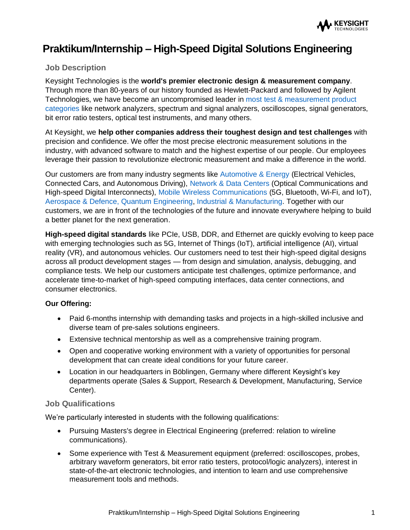

# **Praktikum/Internship – High-Speed Digital Solutions Engineering**

## **Job Description**

Keysight Technologies is the **world's premier electronic design & measurement company**. Through more than 80-years of our history founded as Hewlett-Packard and followed by Agilent Technologies, we have become an uncompromised leader in [most test & measurement product](https://www.keysight.com/us/en/products.html)  [categories](https://www.keysight.com/us/en/products.html) like network analyzers, spectrum and signal analyzers, oscilloscopes, signal generators, bit error ratio testers, optical test instruments, and many others.

At Keysight, we **help other companies address their toughest design and test challenges** with precision and confidence. We offer the most precise electronic measurement solutions in the industry, with advanced software to match and the highest expertise of our people. Our employees leverage their passion to revolutionize electronic measurement and make a difference in the world.

Our customers are from many industry segments like [Automotive & Energy](https://www.keysight.com/us/en/industries/automotive-energy.html) (Electrical Vehicles, Connected Cars, and Autonomous Driving), [Network & Data Centers](https://www.keysight.com/us/en/solutions/data-center-infrastructure.html) (Optical Communications and High-speed Digital Interconnects), [Mobile Wireless Communications](https://www.keysight.com/us/en/industries/communications.html) (5G, Bluetooth, Wi-Fi, and IoT), [Aerospace & Defence,](https://www.keysight.com/us/en/industries/aerospace-defense.html) [Quantum Engineering,](https://www.keysight.com/us/en/solutions/emerging-technologies/quantum-solutions.html) [Industrial & Manufacturing.](https://www.keysight.com/us/en/solutions/manufacturing-test.html) Together with our customers, we are in front of the technologies of the future and innovate everywhere helping to build a better planet for the next generation.

**High-speed digital standards** like PCIe, USB, DDR, and Ethernet are quickly evolving to keep pace with emerging technologies such as 5G, Internet of Things (IoT), artificial intelligence (AI), virtual reality (VR), and autonomous vehicles. Our customers need to test their high-speed digital designs across all product development stages — from design and simulation, analysis, debugging, and compliance tests. We help our customers anticipate test challenges, optimize performance, and accelerate time-to-market of high-speed computing interfaces, data center connections, and consumer electronics.

### **Our Offering:**

- Paid 6-months internship with demanding tasks and projects in a high-skilled inclusive and diverse team of pre-sales solutions engineers.
- Extensive technical mentorship as well as a comprehensive training program.
- Open and cooperative working environment with a variety of opportunities for personal development that can create ideal conditions for your future career.
- Location in our headquarters in Böblingen, Germany where different Keysight's key departments operate (Sales & Support, Research & Development, Manufacturing, Service Center).

### **Job Qualifications**

We're particularly interested in students with the following qualifications:

- Pursuing Masters's degree in Electrical Engineering (preferred: relation to wireline communications).
- Some experience with Test & Measurement equipment (preferred: oscilloscopes, probes, arbitrary waveform generators, bit error ratio testers, protocol/logic analyzers), interest in state-of-the-art electronic technologies, and intention to learn and use comprehensive measurement tools and methods.